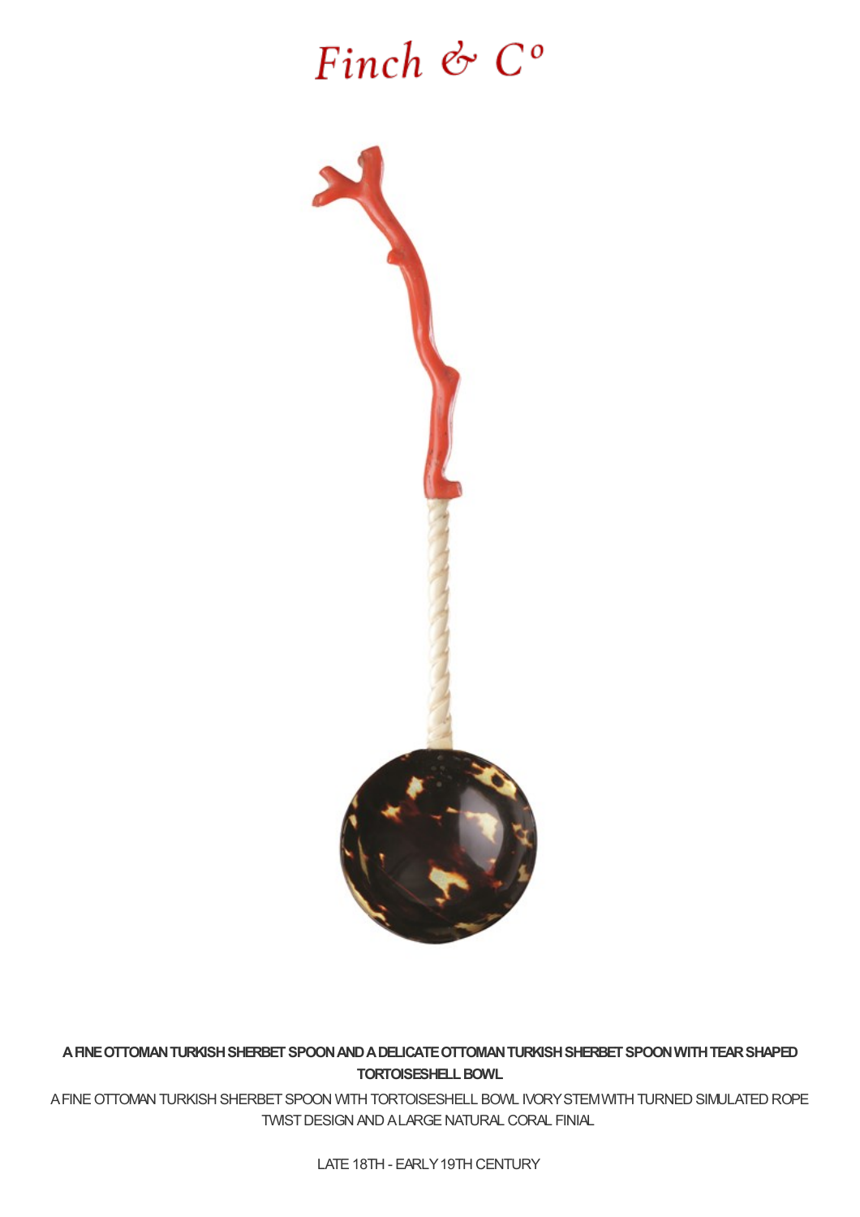# Finch  $\mathfrak{G}$   $C$ <sup>o</sup>



**AFINEOTTOMANTURKISHSHERBETSPOONANDADELICATEOTTOMANTURKISHSHERBETSPOONWITHTEARSHAPED TORTOISESHELLBOWL**

A FINE OTTOMAN TURKISH SHERBET SPOON WITH TORTOISESHELL BOWL IVORY STEM WITH TURNED SIMULATED ROPE TWISTDESIGNANDALARGENATURAL CORAL FINIAL

LATE 18TH - EARLY 19TH CENTURY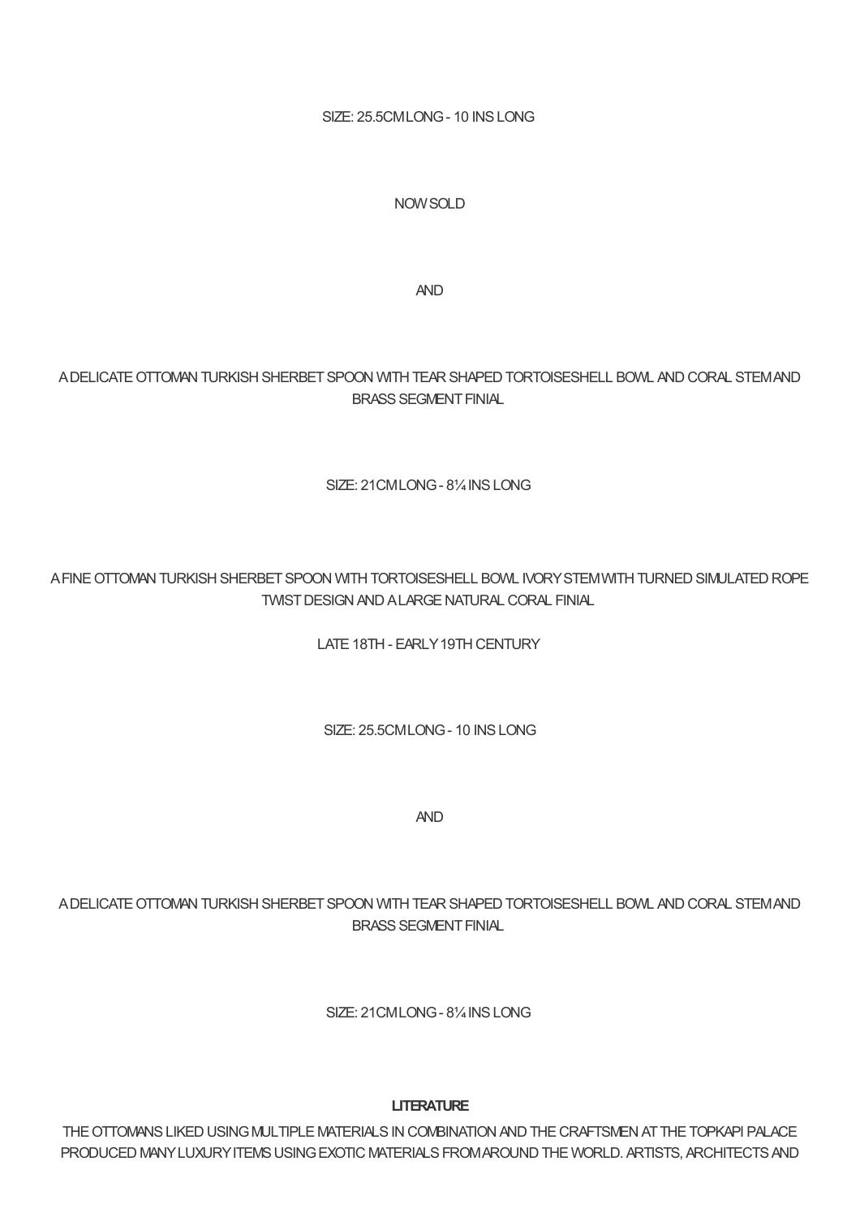SIZE: 25.5CMLONG- 10 INSLONG

### NOWSOLD

AND

## A DELICATE OTTOMAN TURKISH SHERBET SPOON WITH TEAR SHAPED TORTOISESHELL BOWL AND CORAL STEM AND BRASS SEGMENT FINIAL

#### SIZE: 21CMLONG- 8¼INSLONG

## A FINE OTTOMAN TURKISH SHERBET SPOON WITH TORTOISESHELL BOWL IVORY STEM WITH TURNED SIMULATED ROPE TWISTDESIGNANDALARGENATURAL CORAL FINIAL

LATE 18TH - EARLY 19TH CENTURY

SIZE: 25.5CMLONG- 10 INSLONG

AND

## ADELICATE OTTOMAN TURKISH SHERBET SPOON WITH TEAR SHAPED TORTOISESHELL BOWL AND CORAL STEMAND BRASS SEGMENT FINIAL

SIZE: 21CMLONG- 8¼INSLONG

#### **LITERATURE**

THE OTTOMANS LIKED USING MULTIPLE MATERIALS IN COMBINATION AND THE CRAFTSMEN AT THE TOPKAPI PALACE PRODUCED MANY LUXURY ITEMS USING EXOTIC MATERIALS FROM AROUND THE WORLD. ARTISTS, ARCHITECTS AND